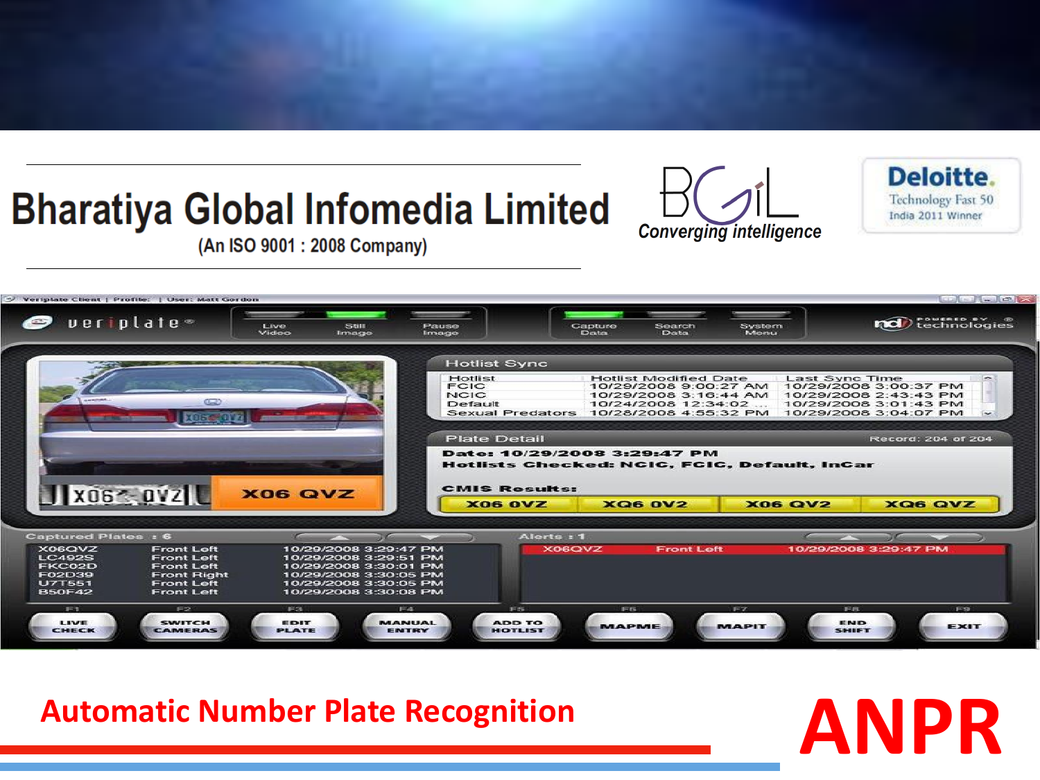## **Bharatiya Global Infomedia Limited**



Deloitte. **Technology Fast 50** India 2011 Winner

(An ISO 9001: 2008 Company)



# **Automatic Number Plate Recognition ANPR**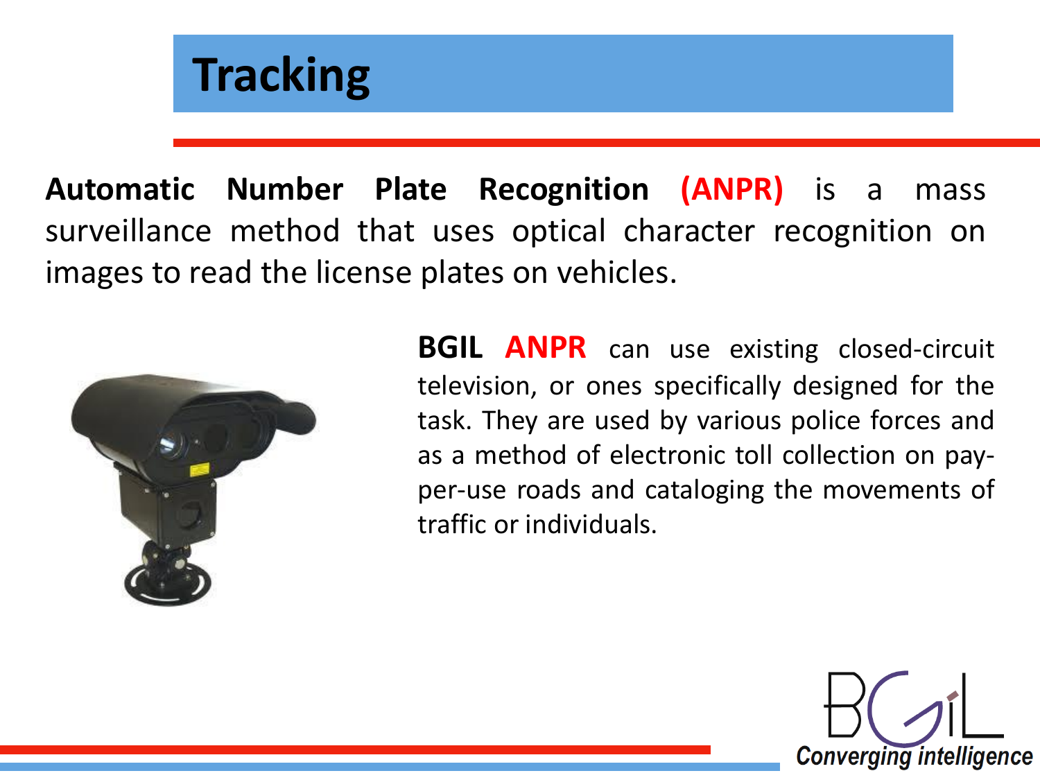![](_page_1_Picture_0.jpeg)

**Automatic Number Plate Recognition (ANPR)** is a mass surveillance method that uses optical character recognition on images to read the license plates on vehicles.

![](_page_1_Picture_2.jpeg)

**BGIL ANPR** can use existing closed-circuit television, or ones specifically designed for the task. They are used by various police forces and as a method of electronic toll collection on payper-use roads and cataloging the movements of traffic or individuals.

![](_page_1_Picture_4.jpeg)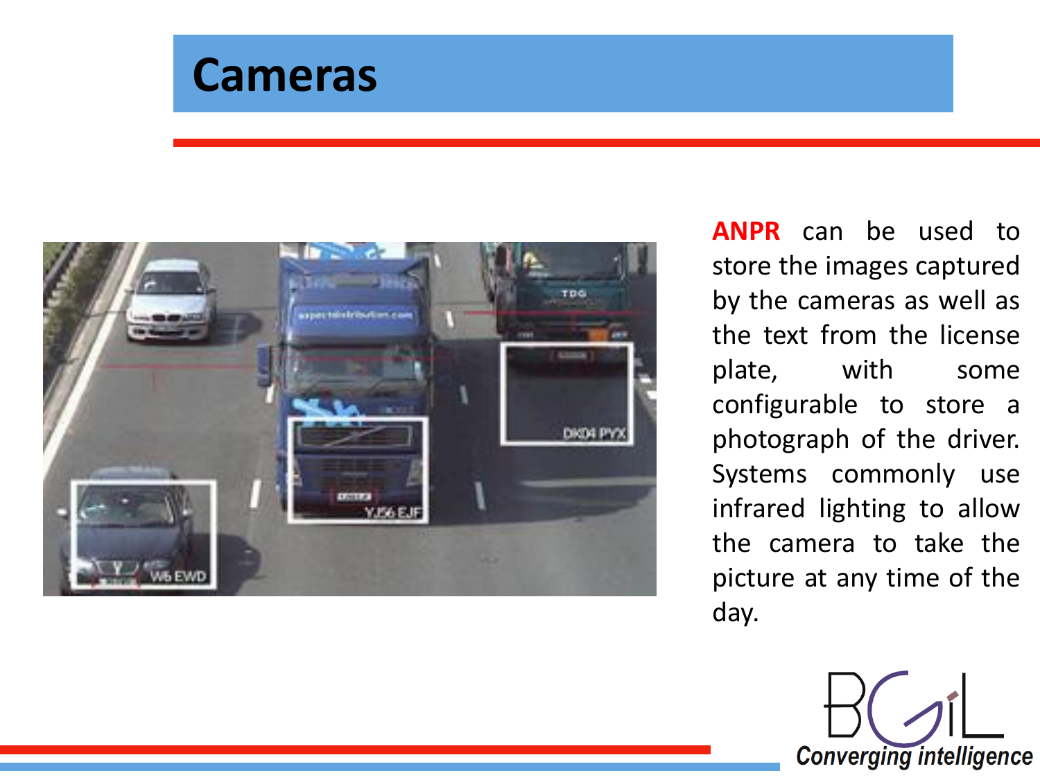![](_page_2_Picture_0.jpeg)

![](_page_2_Picture_1.jpeg)

**ANPR** can be used to store the images captured by the cameras as well as the text from the license plate, with some configurable to store a photograph of the driver. Systems commonly use infrared lighting to allow the camera to take the picture at any time of the day.

![](_page_2_Picture_3.jpeg)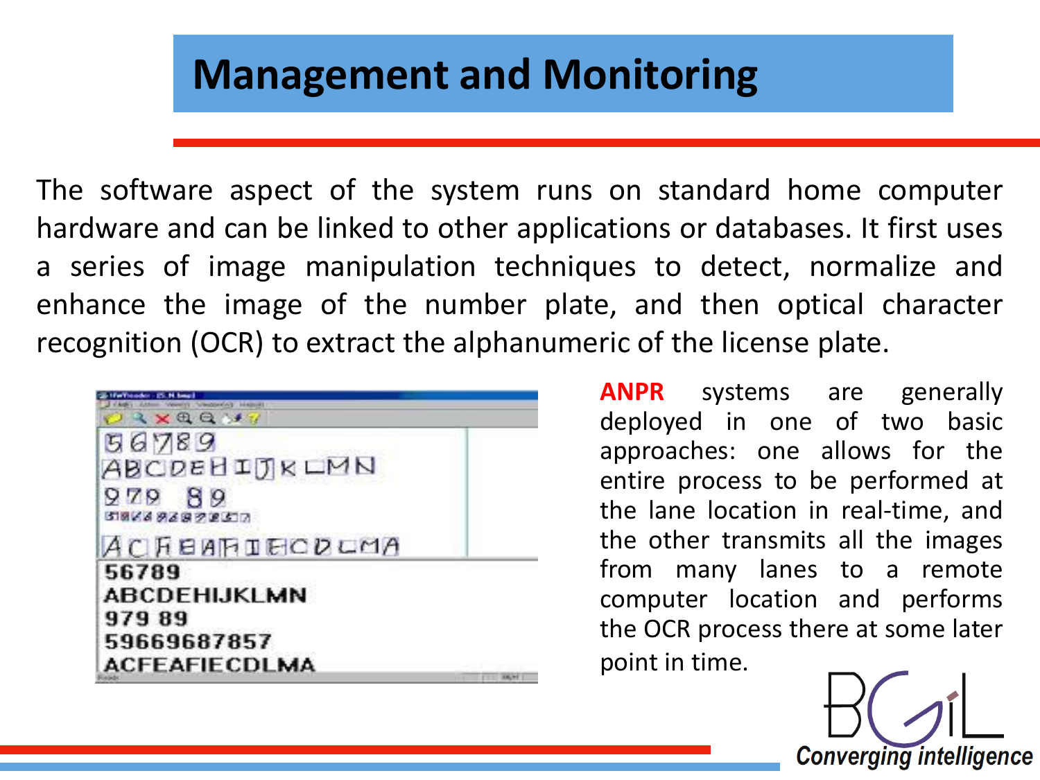### **Management and Monitoring**

The software aspect of the system runs on standard home computer hardware and can be linked to other applications or databases. It first uses a series of image manipulation techniques to detect, normalize and enhance the image of the number plate, and then optical character recognition (OCR) to extract the alphanumeric of the license plate.

| 3 X 8 8 1 1                                        |               |
|----------------------------------------------------|---------------|
| 56789<br>ABCDEHIJKLMN<br>89<br>979<br>536669637857 |               |
| <b>АСЯЕИНТЕСРСМА</b>                               |               |
| 56789                                              |               |
| ABCDEHIJKLMN                                       |               |
| 97989                                              |               |
| 59669687857                                        |               |
| ACFEAFIECDLMA                                      |               |
|                                                    | <b>RELINE</b> |

**ANPR** systems are generally deployed in one of two basic approaches: one allows for the entire process to be performed at the lane location in real-time, and the other transmits all the images from many lanes to a remote computer location and performs the OCR process there at some later point in time.

**Converging intelligence**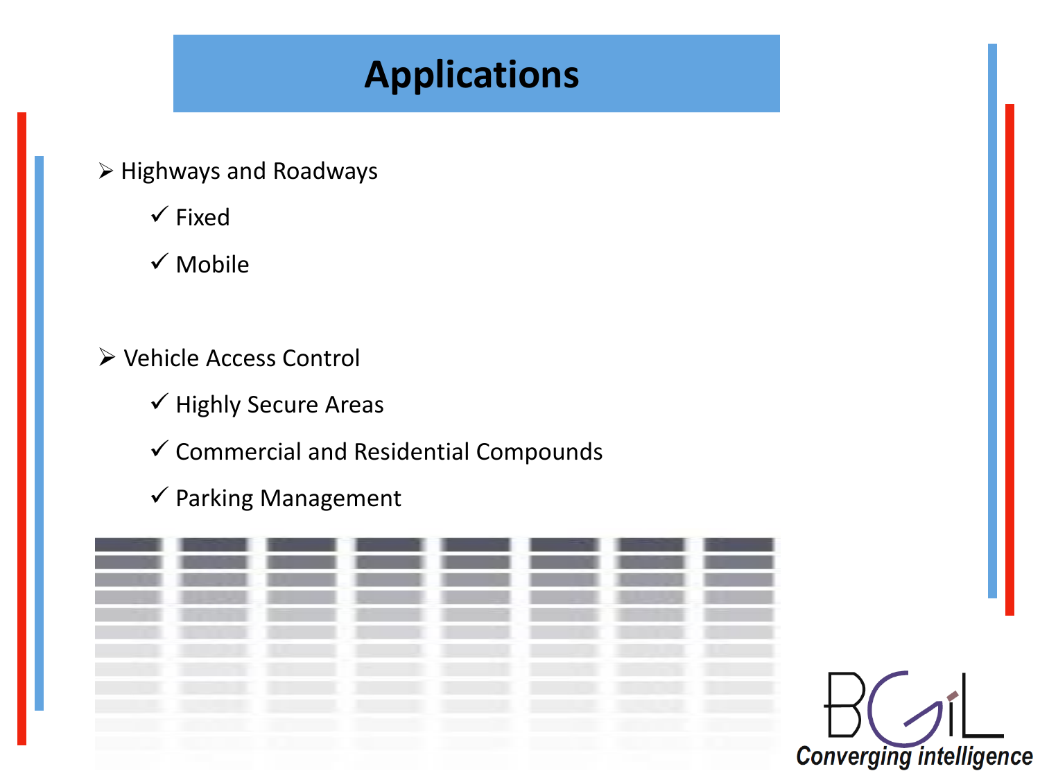#### **Applications**

- $\triangleright$  Highways and Roadways
	- $\checkmark$  Fixed
	- $\checkmark$  Mobile
- Vehicle Access Control
	- $\checkmark$  Highly Secure Areas
	- $\checkmark$  Commercial and Residential Compounds
	- $\checkmark$  Parking Management

![](_page_4_Picture_8.jpeg)